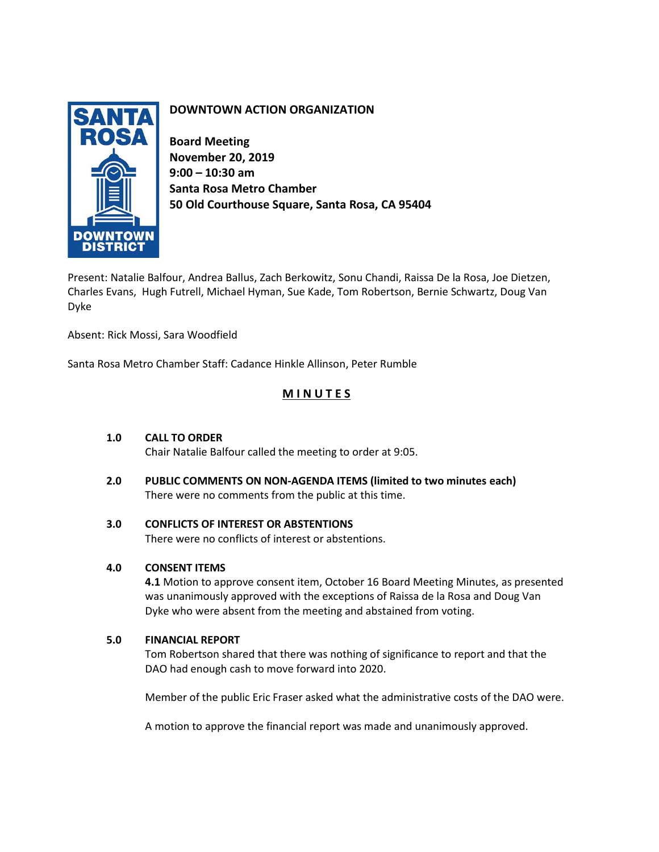

# **DOWNTOWN ACTION ORGANIZATION**

**Board Meeting November 20, 2019 9:00 – 10:30 am Santa Rosa Metro Chamber 50 Old Courthouse Square, Santa Rosa, CA 95404**

Present: Natalie Balfour, Andrea Ballus, Zach Berkowitz, Sonu Chandi, Raissa De la Rosa, Joe Dietzen, Charles Evans, Hugh Futrell, Michael Hyman, Sue Kade, Tom Robertson, Bernie Schwartz, Doug Van Dyke

Absent: Rick Mossi, Sara Woodfield

Santa Rosa Metro Chamber Staff: Cadance Hinkle Allinson, Peter Rumble

# **M I N U T E S**

# **1.0 CALL TO ORDER**

Chair Natalie Balfour called the meeting to order at 9:05.

**2.0 PUBLIC COMMENTS ON NON-AGENDA ITEMS (limited to two minutes each)** There were no comments from the public at this time.

## **3.0 CONFLICTS OF INTEREST OR ABSTENTIONS**

There were no conflicts of interest or abstentions.

# **4.0 CONSENT ITEMS**

**4.1** Motion to approve consent item, October 16 Board Meeting Minutes, as presented was unanimously approved with the exceptions of Raissa de la Rosa and Doug Van Dyke who were absent from the meeting and abstained from voting.

## **5.0 FINANCIAL REPORT**

Tom Robertson shared that there was nothing of significance to report and that the DAO had enough cash to move forward into 2020.

Member of the public Eric Fraser asked what the administrative costs of the DAO were.

A motion to approve the financial report was made and unanimously approved.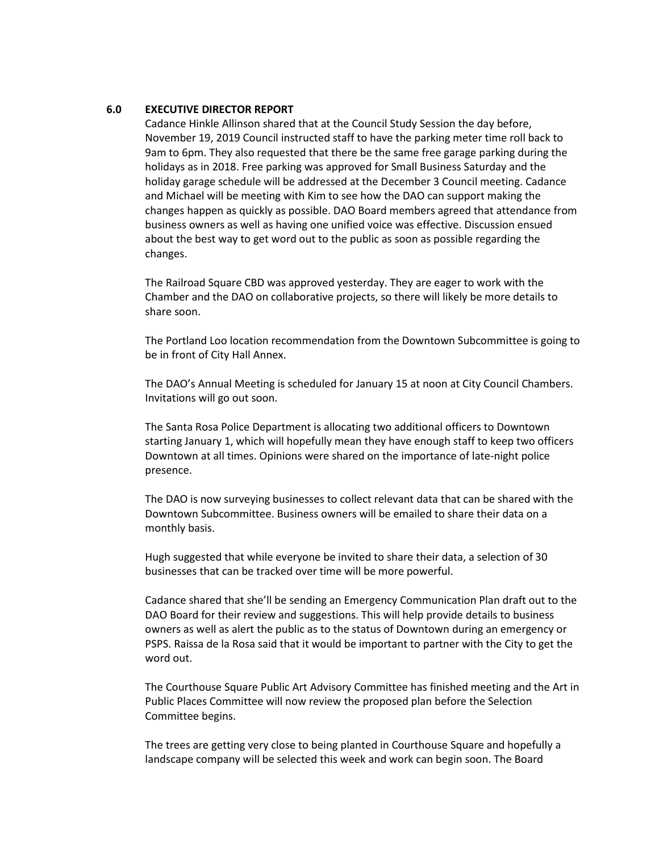#### **6.0 EXECUTIVE DIRECTOR REPORT**

Cadance Hinkle Allinson shared that at the Council Study Session the day before, November 19, 2019 Council instructed staff to have the parking meter time roll back to 9am to 6pm. They also requested that there be the same free garage parking during the holidays as in 2018. Free parking was approved for Small Business Saturday and the holiday garage schedule will be addressed at the December 3 Council meeting. Cadance and Michael will be meeting with Kim to see how the DAO can support making the changes happen as quickly as possible. DAO Board members agreed that attendance from business owners as well as having one unified voice was effective. Discussion ensued about the best way to get word out to the public as soon as possible regarding the changes.

The Railroad Square CBD was approved yesterday. They are eager to work with the Chamber and the DAO on collaborative projects, so there will likely be more details to share soon.

The Portland Loo location recommendation from the Downtown Subcommittee is going to be in front of City Hall Annex.

The DAO's Annual Meeting is scheduled for January 15 at noon at City Council Chambers. Invitations will go out soon.

The Santa Rosa Police Department is allocating two additional officers to Downtown starting January 1, which will hopefully mean they have enough staff to keep two officers Downtown at all times. Opinions were shared on the importance of late-night police presence.

The DAO is now surveying businesses to collect relevant data that can be shared with the Downtown Subcommittee. Business owners will be emailed to share their data on a monthly basis.

Hugh suggested that while everyone be invited to share their data, a selection of 30 businesses that can be tracked over time will be more powerful.

Cadance shared that she'll be sending an Emergency Communication Plan draft out to the DAO Board for their review and suggestions. This will help provide details to business owners as well as alert the public as to the status of Downtown during an emergency or PSPS. Raissa de la Rosa said that it would be important to partner with the City to get the word out.

The Courthouse Square Public Art Advisory Committee has finished meeting and the Art in Public Places Committee will now review the proposed plan before the Selection Committee begins.

The trees are getting very close to being planted in Courthouse Square and hopefully a landscape company will be selected this week and work can begin soon. The Board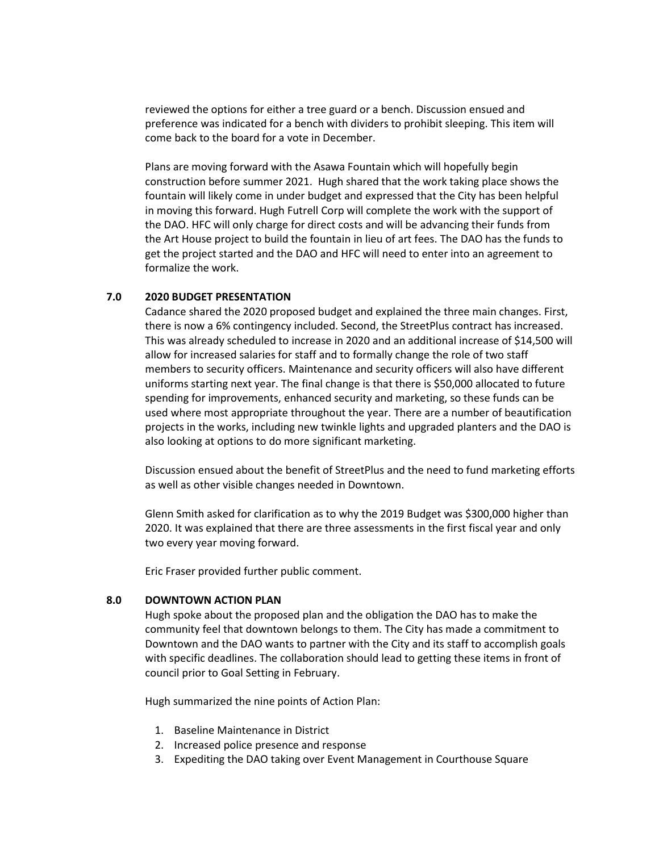reviewed the options for either a tree guard or a bench. Discussion ensued and preference was indicated for a bench with dividers to prohibit sleeping. This item will come back to the board for a vote in December.

Plans are moving forward with the Asawa Fountain which will hopefully begin construction before summer 2021. Hugh shared that the work taking place shows the fountain will likely come in under budget and expressed that the City has been helpful in moving this forward. Hugh Futrell Corp will complete the work with the support of the DAO. HFC will only charge for direct costs and will be advancing their funds from the Art House project to build the fountain in lieu of art fees. The DAO has the funds to get the project started and the DAO and HFC will need to enter into an agreement to formalize the work.

## **7.0 2020 BUDGET PRESENTATION**

Cadance shared the 2020 proposed budget and explained the three main changes. First, there is now a 6% contingency included. Second, the StreetPlus contract has increased. This was already scheduled to increase in 2020 and an additional increase of \$14,500 will allow for increased salaries for staff and to formally change the role of two staff members to security officers. Maintenance and security officers will also have different uniforms starting next year. The final change is that there is \$50,000 allocated to future spending for improvements, enhanced security and marketing, so these funds can be used where most appropriate throughout the year. There are a number of beautification projects in the works, including new twinkle lights and upgraded planters and the DAO is also looking at options to do more significant marketing.

Discussion ensued about the benefit of StreetPlus and the need to fund marketing efforts as well as other visible changes needed in Downtown.

Glenn Smith asked for clarification as to why the 2019 Budget was \$300,000 higher than 2020. It was explained that there are three assessments in the first fiscal year and only two every year moving forward.

Eric Fraser provided further public comment.

#### **8.0 DOWNTOWN ACTION PLAN**

Hugh spoke about the proposed plan and the obligation the DAO has to make the community feel that downtown belongs to them. The City has made a commitment to Downtown and the DAO wants to partner with the City and its staff to accomplish goals with specific deadlines. The collaboration should lead to getting these items in front of council prior to Goal Setting in February.

Hugh summarized the nine points of Action Plan:

- 1. Baseline Maintenance in District
- 2. Increased police presence and response
- 3. Expediting the DAO taking over Event Management in Courthouse Square